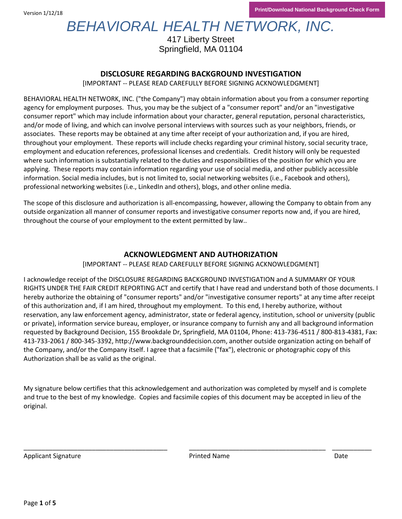Version 1/12/18

# *BEHAVIORAL HEALTH NETWORK, INC.*

417 Liberty Street Springfield, MA 01104

### **DISCLOSURE REGARDING BACKGROUND INVESTIGATION**

[IMPORTANT -- PLEASE READ CAREFULLY BEFORE SIGNING ACKNOWLEDGMENT]

BEHAVIORAL HEALTH NETWORK, INC. ("the Company") may obtain information about you from a consumer reporting agency for employment purposes. Thus, you may be the subject of a "consumer report" and/or an "investigative consumer report" which may include information about your character, general reputation, personal characteristics, and/or mode of living, and which can involve personal interviews with sources such as your neighbors, friends, or associates. These reports may be obtained at any time after receipt of your authorization and, if you are hired, throughout your employment. These reports will include checks regarding your criminal history, social security trace, employment and education references, professional licenses and credentials. Credit history will only be requested where such information is substantially related to the duties and responsibilities of the position for which you are applying. These reports may contain information regarding your use of social media, and other publicly accessible information. Social media includes, but is not limited to, social networking websites (i.e., Facebook and others), professional networking websites (i.e., LinkedIn and others), blogs, and other online media.

The scope of this disclosure and authorization is all-encompassing, however, allowing the Company to obtain from any outside organization all manner of consumer reports and investigative consumer reports now and, if you are hired, throughout the course of your employment to the extent permitted by law..

### **ACKNOWLEDGMENT AND AUTHORIZATION**

[IMPORTANT -- PLEASE READ CAREFULLY BEFORE SIGNING ACKNOWLEDGMENT]

I acknowledge receipt of the DISCLOSURE REGARDING BACKGROUND INVESTIGATION and A SUMMARY OF YOUR RIGHTS UNDER THE FAIR CREDIT REPORTING ACT and certify that I have read and understand both of those documents. I hereby authorize the obtaining of "consumer reports" and/or "investigative consumer reports" at any time after receipt of this authorization and, if I am hired, throughout my employment. To this end, I hereby authorize, without reservation, any law enforcement agency, administrator, state or federal agency, institution, school or university (public or private), information service bureau, employer, or insurance company to furnish any and all background information requested by Background Decision, 155 Brookdale Dr, Springfield, MA 01104, Phone: 413-736-4511 / 800-813-4381, Fax: 413-733-2061 / 800-345-3392, http://www.backgrounddecision.com, another outside organization acting on behalf of the Company, and/or the Company itself. I agree that a facsimile ("fax"), electronic or photographic copy of this Authorization shall be as valid as the original.

My signature below certifies that this acknowledgement and authorization was completed by myself and is complete and true to the best of my knowledge. Copies and facsimile copies of this document may be accepted in lieu of the original.

\_\_\_\_\_\_\_\_\_\_\_\_\_\_\_\_\_\_\_\_\_\_\_\_\_\_\_\_\_\_\_\_\_\_\_\_\_\_\_\_ \_\_\_\_\_\_\_\_\_\_\_\_\_\_\_\_\_\_\_\_\_\_\_\_\_\_\_\_\_\_\_\_\_\_\_\_\_\_ \_\_\_\_\_\_\_\_\_\_\_

Applicant Signature **Date In the Contract Oriental Applicant Signature** Date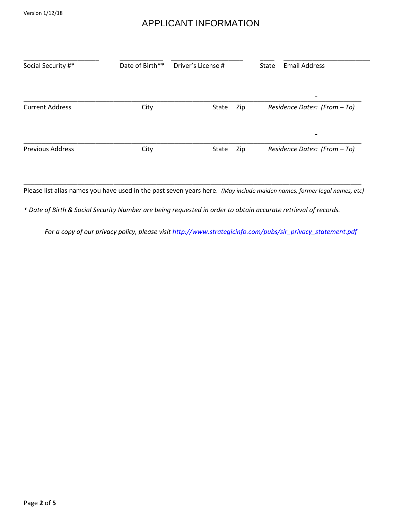### APPLICANT INFORMATION

| Social Security #*      | Date of Birth** | Driver's License # |     | <b>State</b> | <b>Email Address</b>         |
|-------------------------|-----------------|--------------------|-----|--------------|------------------------------|
|                         |                 |                    |     |              | $\overline{\phantom{0}}$     |
| <b>Current Address</b>  | City            | State              | Zip |              | Residence Dates: (From - To) |
|                         |                 |                    |     |              | $\blacksquare$               |
| <b>Previous Address</b> | City            | State              | Zip |              | Residence Dates: (From - To) |

\_\_\_\_\_\_\_\_\_\_\_\_\_\_\_\_\_\_\_\_\_\_\_\_\_\_\_\_\_\_\_\_\_\_\_\_\_\_\_\_\_\_\_\_\_\_\_\_\_\_\_\_\_\_\_\_\_\_\_\_\_\_\_\_\_\_\_\_\_\_\_\_\_\_\_\_\_\_\_\_\_\_\_\_\_\_\_\_\_\_\_\_\_\_ Please list alias names you have used in the past seven years here. *(May include maiden names, former legal names, etc)* 

*\* Date of Birth & Social Security Number are being requested in order to obtain accurate retrieval of records.* 

*For a copy of our privacy policy, please visi[t http://www.strategicinfo.com/pubs/sir\\_privacy\\_statement.pdf](http://www.strategicinfo.com/pubs/sir_privacy_statement.pdf)*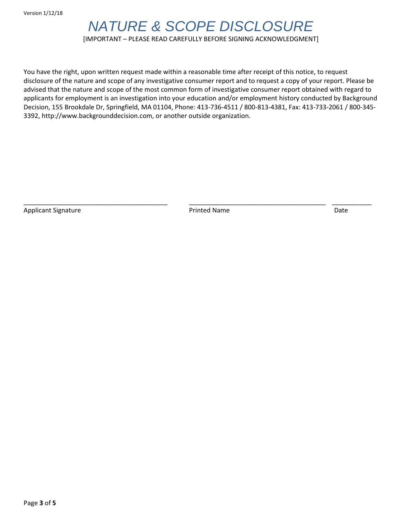## *NATURE & SCOPE DISCLOSURE*

### [IMPORTANT – PLEASE READ CAREFULLY BEFORE SIGNING ACKNOWLEDGMENT]

You have the right, upon written request made within a reasonable time after receipt of this notice, to request disclosure of the nature and scope of any investigative consumer report and to request a copy of your report. Please be advised that the nature and scope of the most common form of investigative consumer report obtained with regard to applicants for employment is an investigation into your education and/or employment history conducted by Background Decision, 155 Brookdale Dr, Springfield, MA 01104, Phone: 413-736-4511 / 800-813-4381, Fax: 413-733-2061 / 800-345- 3392, http://www.backgrounddecision.com, or another outside organization.

Applicant Signature **Date Community** Printed Name **Printed Name** Date **Date** Date

\_\_\_\_\_\_\_\_\_\_\_\_\_\_\_\_\_\_\_\_\_\_\_\_\_\_\_\_\_\_\_\_\_\_\_\_\_\_\_\_ \_\_\_\_\_\_\_\_\_\_\_\_\_\_\_\_\_\_\_\_\_\_\_\_\_\_\_\_\_\_\_\_\_\_\_\_\_\_ \_\_\_\_\_\_\_\_\_\_\_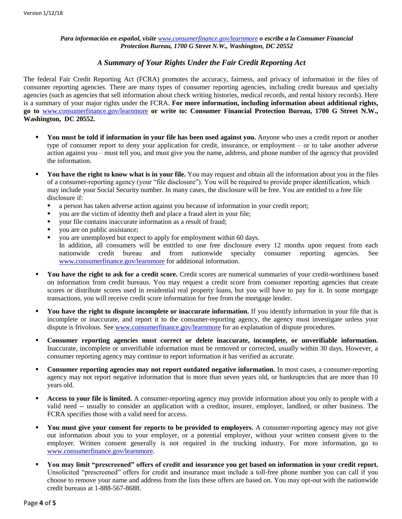#### *Para información en español, visite [www.consumerfinance.gov/learnmore](http://www.consumerfinance.gov/learnmore) o escribe a la Consumer Financial Protection Bureau, 1700 G Street N.W., Washington, DC 20552*

### *A Summary of Your Rights Under the Fair Credit Reporting Act*

The federal Fair Credit Reporting Act (FCRA) promotes the accuracy, fairness, and privacy of information in the files of consumer reporting agencies. There are many types of consumer reporting agencies, including credit bureaus and specialty agencies (such as agencies that sell information about check writing histories, medical records, and rental history records). Here is a summary of your major rights under the FCRA. **For more information, including information about additional rights, go to** [www.consumerfinance.gov/learnmore](http://www.consumerfinance.gov/learnmore) **or write to: Consumer Financial Protection Bureau, 1700 G Street N.W., Washington, DC 20552.** 

- **You must be told if information in your file has been used against you.** Anyone who uses a credit report or another type of consumer report to deny your application for credit, insurance, or employment – or to take another adverse action against you – must tell you, and must give you the name, address, and phone number of the agency that provided the information.
- **You have the right to know what is in your file.** You may request and obtain all the information about you in the files of a consumer-reporting agency (your "file disclosure"). You will be required to provide proper identification, which may include your Social Security number. In many cases, the disclosure will be free. You are entitled to a free file disclosure if:
	- a person has taken adverse action against you because of information in your credit report;
	- you are the victim of identity theft and place a fraud alert in your file;
	- your file contains inaccurate information as a result of fraud;
	- you are on public assistance;
	- you are unemployed but expect to apply for employment within 60 days. In addition, all consumers will be entitled to one free disclosure every 12 months upon request from each nationwide credit bureau and from nationwide specialty consumer reporting agencies. See [www.consumerfinance.gov/learnmore](http://www.consumerfinance.gov/learnmore) for additional information.
- **You have the right to ask for a credit score.** Credit scores are numerical summaries of your credit-worthiness based on information from credit bureaus. You may request a credit score from consumer reporting agencies that create scores or distribute scores used in residential real property loans, but you will have to pay for it. In some mortgage transactions, you will receive credit score information for free from the mortgage lender.
- You have the right to dispute incomplete or inaccurate information. If you identify information in your file that is incomplete or inaccurate, and report it to the consumer-reporting agency, the agency must investigate unless your dispute is frivolous. See [www.consumerfinance.gov/learnmore](http://www.consumerfinance.gov/learnmore) for an explanation of dispute procedures.
- **Consumer reporting agencies must correct or delete inaccurate, incomplete, or unverifiable information.**  Inaccurate, incomplete or unverifiable information must be removed or corrected, usually within 30 days. However, a consumer reporting agency may continue to report information it has verified as accurate.
- **Consumer reporting agencies may not report outdated negative information.** In most cases, a consumer-reporting agency may not report negative information that is more than seven years old, or bankruptcies that are more than 10 years old.
- **Access to your file is limited.** A consumer-reporting agency may provide information about you only to people with a valid need -- usually to consider an application with a creditor, insurer, employer, landlord, or other business. The FCRA specifies those with a valid need for access.
- **You must give your consent for reports to be provided to employers.** A consumer-reporting agency may not give out information about you to your employer, or a potential employer, without your written consent given to the employer. Written consent generally is not required in the trucking industry. For more information, go to [www.consumerfinance.gov/learnmore.](http://www.consumerfinance.gov/learnmore)
- **You may limit "prescreened" offers of credit and insurance you get based on information in your credit report.**  Unsolicited "prescreened" offers for credit and insurance must include a toll-free phone number you can call if you choose to remove your name and address from the lists these offers are based on. You may opt-out with the nationwide credit bureaus at 1-888-567-8688.